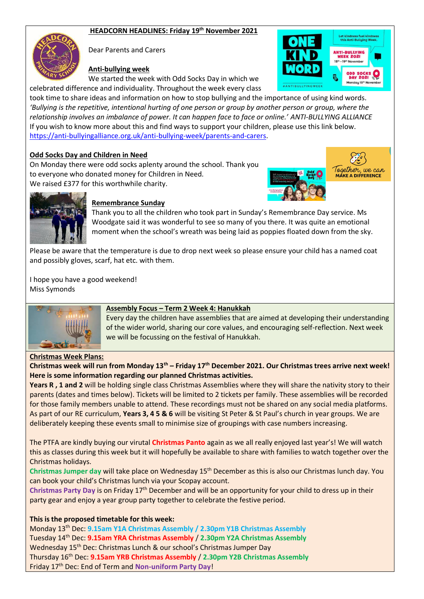### **HEADCORN HEADLINES: Friday 19 th November 2021**



Dear Parents and Carers

### **Anti-bullying week**

We started the week with Odd Socks Day in which we celebrated difference and individuality. Throughout the week every class



took time to share ideas and information on how to stop bullying and the importance of using kind words. *'Bullying is the repetitive, intentional hurting of one person or group by another person or group, where the relationship involves an imbalance of power. It can happen face to face or online.' ANTI-BULLYING ALLIANCE* If you wish to know more about this and find ways to support your children, please use this link below. [https://anti-bullyingalliance.org.uk/anti-bullying-week/parents-and-carers.](https://anti-bullyingalliance.org.uk/anti-bullying-week/parents-and-carers)

#### **Odd Socks Day and Children in Need**

On Monday there were odd socks aplenty around the school. Thank you to everyone who donated money for Children in Need. We raised £377 for this worthwhile charity.





#### **Remembrance Sunday**

Thank you to all the children who took part in Sunday's Remembrance Day service. Ms Woodgate said it was wonderful to see so many of you there. It was quite an emotional moment when the school's wreath was being laid as poppies floated down from the sky.

Please be aware that the temperature is due to drop next week so please ensure your child has a named coat and possibly gloves, scarf, hat etc. with them.

I hope you have a good weekend! Miss Symonds



### **Assembly Focus – Term 2 Week 4: Hanukkah**

Every day the children have assemblies that are aimed at developing their understanding of the wider world, sharing our core values, and encouraging self-reflection. Next week we will be focussing on the festival of Hanukkah.

#### **Christmas Week Plans:**

### **Christmas week will run from Monday 13th – Friday 17th December 2021. Our Christmas trees arrive next week! Here is some information regarding our planned Christmas activities.**

**Years R , 1 and 2** will be holding single class Christmas Assemblies where they will share the nativity story to their parents (dates and times below). Tickets will be limited to 2 tickets per family. These assemblies will be recorded for those family members unable to attend. These recordings must not be shared on any social media platforms. As part of our RE curriculum, **Years 3, 4 5 & 6** will be visiting St Peter & St Paul's church in year groups. We are deliberately keeping these events small to minimise size of groupings with case numbers increasing.

The PTFA are kindly buying our virutal **Christmas Panto** again as we all really enjoyed last year's! We will watch this as classes during this week but it will hopefully be available to share with families to watch together over the Christmas holidays.

**Christmas Jumper day** will take place on Wednesday 15th December as this is also our Christmas lunch day. You can book your child's Christmas lunch via your Scopay account.

**Christmas Party Day** is on Friday 17th December and will be an opportunity for your child to dress up in their party gear and enjoy a year group party together to celebrate the festive period.

#### **This is the proposed timetable for this week:**

Monday 13th Dec: **9.15am Y1A Christmas Assembly / 2.30pm Y1B Christmas Assembly** Tuesday 14th Dec: **9.15am YRA Christmas Assembly** / **2.30pm Y2A Christmas Assembly** Wednesday 15<sup>th</sup> Dec: Christmas Lunch & our school's Christmas Jumper Day Thursday 16th Dec: **9.15am YRB Christmas Assembly** / **2.30pm Y2B Christmas Assembly** Friday 17th Dec: End of Term and **Non-uniform Party Day**!